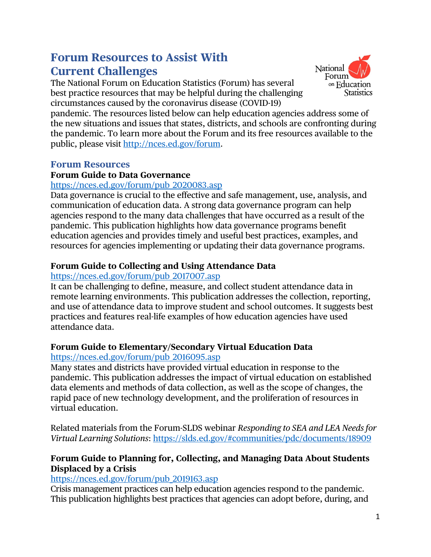# **Forum Resources to Assist With Current Challenges**

The National Forum on Education Statistics (Forum) has several best practice resources that may be helpful during the challenging circumstances caused by the coronavirus disease (COVID-19)



pandemic. The resources listed below can help education agencies address some of the new situations and issues that states, districts, and schools are confronting during the pandemic. To learn more about the Forum and its free resources available to the public, please visit http://nces.ed.gov/forum.

#### **Forum Resources**

# **Forum Guide to Data Governance**

#### https://nces.ed.gov/forum/pub\_2020083.asp

Data governance is crucial to the effective and safe management, use, analysis, and communication of education data. A strong data governance program can help agencies respond to the many data challenges that have occurred as a result of the pandemic. This publication highlights how data governance programs benefit education agencies and provides timely and useful best practices, examples, and resources for agencies implementing or updating their data governance programs.

# **Forum Guide to Collecting and Using Attendance Data**

# https://nces.ed.gov/forum/pub\_2017007.asp

It can be challenging to define, measure, and collect student attendance data in remote learning environments. This publication addresses the collection, reporting, and use of attendance data to improve student and school outcomes. It suggests best practices and features real-life examples of how education agencies have used attendance data.

#### **Forum Guide to Elementary/Secondary Virtual Education Data**  https://nces.ed.gov/forum/pub\_2016095.asp

Many states and districts have provided virtual education in response to the pandemic. This publication addresses the impact of virtual education on established data elements and methods of data collection, as well as the scope of changes, the rapid pace of new technology development, and the proliferation of resources in virtual education.

Related materials from the Forum-SLDS webinar *Responding to SEA and LEA Needs for Virtual Learning Solutions*: https://slds.ed.gov/#communities/pdc/documents/18909

# **Forum Guide to Planning for, Collecting, and Managing Data About Students Displaced by a Crisis**

# https://nces.ed.gov/forum/pub\_2019163.asp

Crisis management practices can help education agencies respond to the pandemic. This publication highlights best practices that agencies can adopt before, during, and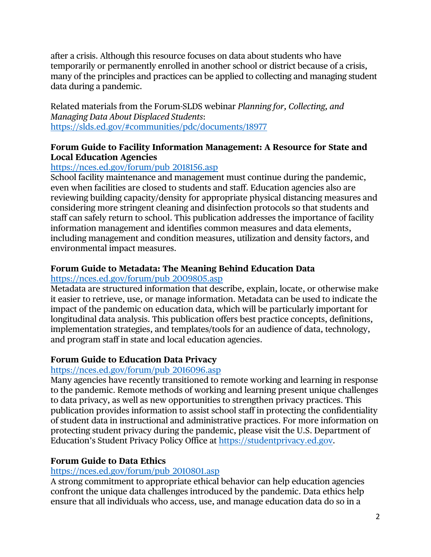after a crisis. Although this resource focuses on data about students who have temporarily or permanently enrolled in another school or district because of a crisis, many of the principles and practices can be applied to collecting and managing student data during a pandemic.

Related materials from the Forum-SLDS webinar *Planning for, Collecting, and Managing Data About Displaced Students*: https://slds.ed.gov/#communities/pdc/documents/18977

# **Forum Guide to Facility Information Management: A Resource for State and Local Education Agencies**

# https://nces.ed.gov/forum/pub\_2018156.asp

School facility maintenance and management must continue during the pandemic, even when facilities are closed to students and staff. Education agencies also are reviewing building capacity/density for appropriate physical distancing measures and considering more stringent cleaning and disinfection protocols so that students and staff can safely return to school. This publication addresses the importance of facility information management and identifies common measures and data elements, including management and condition measures, utilization and density factors, and environmental impact measures.

# **Forum Guide to Metadata: The Meaning Behind Education Data**

#### https://nces.ed.gov/forum/pub\_2009805.asp

Metadata are structured information that describe, explain, locate, or otherwise make it easier to retrieve, use, or manage information. Metadata can be used to indicate the impact of the pandemic on education data, which will be particularly important for longitudinal data analysis. This publication offers best practice concepts, definitions, implementation strategies, and templates/tools for an audience of data, technology, and program staff in state and local education agencies.

#### **Forum Guide to Education Data Privacy**

#### [https://nces.ed.gov/forum/pub\\_2016096.asp](https://nces.ed.gov/forum/pub_2016096.asp)

Many agencies have recently transitioned to remote working and learning in response to the pandemic. Remote methods of working and learning present unique challenges to data privacy, as well as new opportunities to strengthen privacy practices. This publication provides information to assist school staff in protecting the confidentiality of student data in instructional and administrative practices. For more information on protecting student privacy during the pandemic, please visit the U.S. Department of Education's Student Privacy Policy Office at https://studentprivacy.ed.gov.

#### **Forum Guide to Data Ethics**

#### https://nces.ed.gov/forum/pub\_2010801.asp

A strong commitment to appropriate ethical behavior can help education agencies confront the unique data challenges introduced by the pandemic. Data ethics help ensure that all individuals who access, use, and manage education data do so in a